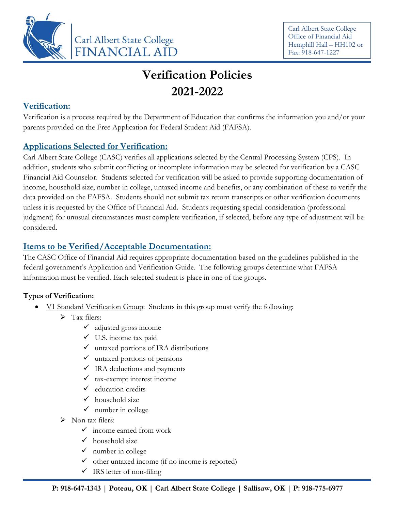

Carl Albert State College Office of Financial Aid Hemphill Hall – HH102 or Fax: 918-647-1227

# **Verification Policies 2021-2022**

## **Verification:**

Verification is a process required by the Department of Education that confirms the information you and/or your parents provided on the Free Application for Federal Student Aid (FAFSA).

## **Applications Selected for Verification:**

Carl Albert State College (CASC) verifies all applications selected by the Central Processing System (CPS). In addition, students who submit conflicting or incomplete information may be selected for verification by a CASC Financial Aid Counselor. Students selected for verification will be asked to provide supporting documentation of income, household size, number in college, untaxed income and benefits, or any combination of these to verify the data provided on the FAFSA. Students should not submit tax return transcripts or other verification documents unless it is requested by the Office of Financial Aid. Students requesting special consideration (professional judgment) for unusual circumstances must complete verification, if selected, before any type of adjustment will be considered.

# **Items to be Verified/Acceptable Documentation:**

The CASC Office of Financial Aid requires appropriate documentation based on the guidelines published in the federal government's Application and Verification Guide. The following groups determine what FAFSA information must be verified. Each selected student is place in one of the groups.

## **Types of Verification:**

- V1 Standard Verification Group: Students in this group must verify the following:
	- $\triangleright$  Tax filers:
		- $\checkmark$  adjusted gross income
		- $\checkmark$  U.S. income tax paid
		- $\checkmark$  untaxed portions of IRA distributions
		- $\checkmark$  untaxed portions of pensions
		- $\checkmark$  IRA deductions and payments
		- $\times$  tax-exempt interest income
		- $\checkmark$  education credits
		- $\checkmark$  household size
		- $\checkmark$  number in college
	- $\triangleright$  Non tax filers:
		- $\checkmark$  income earned from work
		- $\checkmark$  household size
		- $\checkmark$  number in college
		- $\checkmark$  other untaxed income (if no income is reported)
		- $\checkmark$  IRS letter of non-filing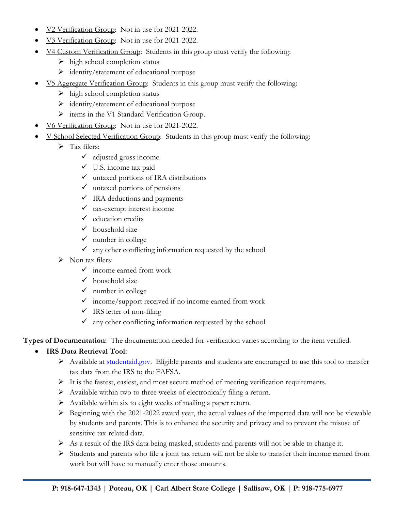- V<sub>2</sub> Verification Group: Not in use for 2021-2022.
- V<sub>3</sub> Verification Group: Not in use for 2021-2022.
- V4 Custom Verification Group: Students in this group must verify the following:
	- $\triangleright$  high school completion status
	- $\triangleright$  identity/statement of educational purpose
- V5 Aggregate Verification Group: Students in this group must verify the following:
	- $\triangleright$  high school completion status
	- $\triangleright$  identity/statement of educational purpose
	- $\triangleright$  items in the V1 Standard Verification Group.
- V6 Verification Group: Not in use for 2021-2022.
- V School Selected Verification Group: Students in this group must verify the following:
	- $\triangleright$  Tax filers:
		- $\checkmark$  adjusted gross income
		- $\checkmark$  U.S. income tax paid
		- $\checkmark$  untaxed portions of IRA distributions
		- $\checkmark$  untaxed portions of pensions
		- $\checkmark$  IRA deductions and payments
		- $\times$  tax-exempt interest income
		- $\checkmark$  education credits
		- $\checkmark$  household size
		- $\checkmark$  number in college
		- $\checkmark$  any other conflicting information requested by the school
	- > Non tax filers:
		- $\checkmark$  income earned from work
		- $\checkmark$  household size
		- $\checkmark$  number in college
		- $\checkmark$  income/support received if no income earned from work
		- $\checkmark$  IRS letter of non-filing
		- $\checkmark$  any other conflicting information requested by the school

**Types of Documentation:** The documentation needed for verification varies according to the item verified.

#### • **IRS Data Retrieval Tool:**

- $\triangleright$  Available at [studentaid.gov.](https://studentaid.gov/h/apply-for-aid/fafsa) Eligible parents and students are encouraged to use this tool to transfer tax data from the IRS to the FAFSA.
- $\triangleright$  It is the fastest, easiest, and most secure method of meeting verification requirements.
- Available within two to three weeks of electronically filing a return.
- $\triangleright$  Available within six to eight weeks of mailing a paper return.
- $\triangleright$  Beginning with the 2021-2022 award year, the actual values of the imported data will not be viewable by students and parents. This is to enhance the security and privacy and to prevent the misuse of sensitive tax-related data.
- $\triangleright$  As a result of the IRS data being masked, students and parents will not be able to change it.
- $\triangleright$  Students and parents who file a joint tax return will not be able to transfer their income earned from work but will have to manually enter those amounts.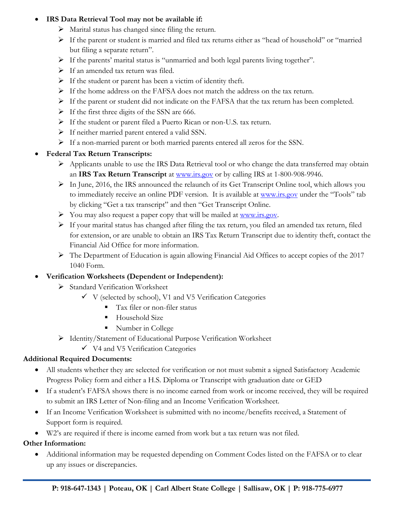#### • **IRS Data Retrieval Tool may not be available if:**

- $\triangleright$  Marital status has changed since filing the return.
- $\triangleright$  If the parent or student is married and filed tax returns either as "head of household" or "married" but filing a separate return".
- If the parents' marital status is "unmarried and both legal parents living together".
- $\triangleright$  If an amended tax return was filed.
- $\triangleright$  If the student or parent has been a victim of identity theft.
- If the home address on the FAFSA does not match the address on the tax return.
- $\triangleright$  If the parent or student did not indicate on the FAFSA that the tax return has been completed.
- $\triangleright$  If the first three digits of the SSN are 666.
- If the student or parent filed a Puerto Rican or non-U.S. tax return.
- $\triangleright$  If neither married parent entered a valid SSN.
- If a non-married parent or both married parents entered all zeros for the SSN.

#### • **Federal Tax Return Transcripts:**

- Applicants unable to use the IRS Data Retrieval tool or who change the data transferred may obtain an **IRS Tax Return Transcript** at [www.irs.gov](http://www.irs.gov/) or by calling IRS at 1-800-908-9946.
- $\triangleright$  In June, 2016, the IRS announced the relaunch of its Get Transcript Online tool, which allows you to immediately receive an online PDF version. It is available at [www.irs.gov](http://www.irs.gov/) under the "Tools" tab by clicking "Get a tax transcript" and then "Get Transcript Online.
- $\triangleright$  You may also request a paper copy that will be mailed at [www.irs.gov.](http://www.irs.gov/)
- If your marital status has changed after filing the tax return, you filed an amended tax return, filed for extension, or are unable to obtain an IRS Tax Return Transcript due to identity theft, contact the Financial Aid Office for more information.
- The Department of Education is again allowing Financial Aid Offices to accept copies of the 2017 1040 Form.

## • **Verification Worksheets (Dependent or Independent):**

- > Standard Verification Worksheet
	- $\checkmark$  V (selected by school), V1 and V5 Verification Categories
		- Tax filer or non-filer status
		- **Household Size**
		- Number in College
- Identity/Statement of Educational Purpose Verification Worksheet
	- $\checkmark$  V4 and V5 Verification Categories

## **Additional Required Documents:**

- All students whether they are selected for verification or not must submit a signed Satisfactory Academic Progress Policy form and either a H.S. Diploma or Transcript with graduation date or GED
- If a student's FAFSA shows there is no income earned from work or income received, they will be required to submit an IRS Letter of Non-filing and an Income Verification Worksheet.
- If an Income Verification Worksheet is submitted with no income/benefits received, a Statement of Support form is required.
- W2's are required if there is income earned from work but a tax return was not filed.

## **Other Information:**

• Additional information may be requested depending on Comment Codes listed on the FAFSA or to clear up any issues or discrepancies.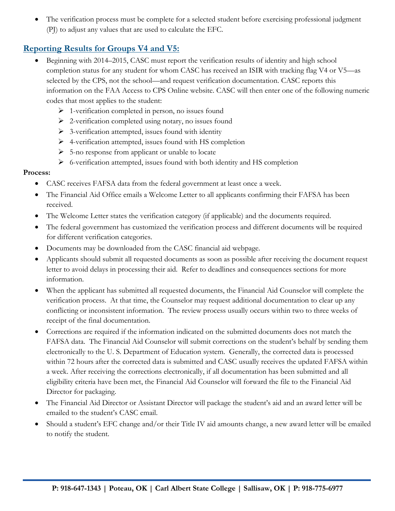The verification process must be complete for a selected student before exercising professional judgment (PJ) to adjust any values that are used to calculate the EFC.

## **Reporting Results for Groups V4 and V5:**

- Beginning with 2014–2015, CASC must report the verification results of identity and high school completion status for any student for whom CASC has received an ISIR with tracking flag V4 or V5—as selected by the CPS, not the school—and request verification documentation. CASC reports this information on the FAA Access to CPS Online website. CASC will then enter one of the following numeric codes that most applies to the student:
	- $\triangleright$  1-verification completed in person, no issues found
	- $\triangleright$  2-verification completed using notary, no issues found
	- $\triangleright$  3-verification attempted, issues found with identity
	- $\triangleright$  4-verification attempted, issues found with HS completion
	- $\geq 5$ -no response from applicant or unable to locate
	- $\triangleright$  6-verification attempted, issues found with both identity and HS completion

#### **Process:**

- CASC receives FAFSA data from the federal government at least once a week.
- The Financial Aid Office emails a Welcome Letter to all applicants confirming their FAFSA has been received.
- The Welcome Letter states the verification category (if applicable) and the documents required.
- The federal government has customized the verification process and different documents will be required for different verification categories.
- Documents may be downloaded from the CASC financial aid webpage.
- Applicants should submit all requested documents as soon as possible after receiving the document request letter to avoid delays in processing their aid. Refer to deadlines and consequences sections for more information.
- When the applicant has submitted all requested documents, the Financial Aid Counselor will complete the verification process. At that time, the Counselor may request additional documentation to clear up any conflicting or inconsistent information. The review process usually occurs within two to three weeks of receipt of the final documentation.
- Corrections are required if the information indicated on the submitted documents does not match the FAFSA data. The Financial Aid Counselor will submit corrections on the student's behalf by sending them electronically to the U. S. Department of Education system. Generally, the corrected data is processed within 72 hours after the corrected data is submitted and CASC usually receives the updated FAFSA within a week. After receiving the corrections electronically, if all documentation has been submitted and all eligibility criteria have been met, the Financial Aid Counselor will forward the file to the Financial Aid Director for packaging.
- The Financial Aid Director or Assistant Director will package the student's aid and an award letter will be emailed to the student's CASC email.
- Should a student's EFC change and/or their Title IV aid amounts change, a new award letter will be emailed to notify the student.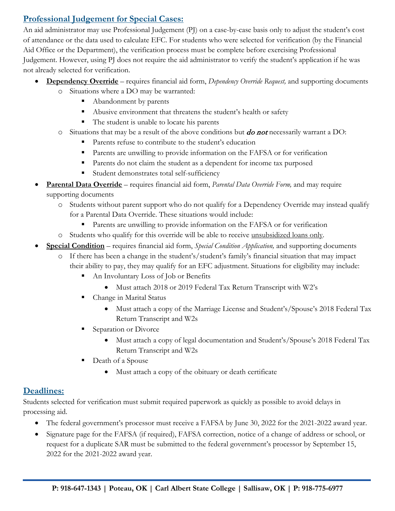# **Professional Judgement for Special Cases:**

An aid administrator may use Professional Judgement (PJ) on a case-by-case basis only to adjust the student's cost of attendance or the data used to calculate EFC. For students who were selected for verification (by the Financial Aid Office or the Department), the verification process must be complete before exercising Professional Judgement. However, using PJ does not require the aid administrator to verify the student's application if he was not already selected for verification.

- **Dependency Override** requires financial aid form, *Dependency Override Request,* and supporting documents
	- o Situations where a DO may be warranted:
		- Abandonment by parents
		- Abusive environment that threatens the student's health or safety
		- The student is unable to locate his parents
	- $\circ$  Situations that may be a result of the above conditions but *do not* necessarily warrant a DO:
		- Parents refuse to contribute to the student's education
		- Parents are unwilling to provide information on the FAFSA or for verification
		- **Parents do not claim the student as a dependent for income tax purposed**
		- Student demonstrates total self-sufficiency
- **Parental Data Override** requires financial aid form, *Parental Data Override Form,* and may require supporting documents
	- o Students without parent support who do not qualify for a Dependency Override may instead qualify for a Parental Data Override. These situations would include:
		- Parents are unwilling to provide information on the FAFSA or for verification
	- o Students who qualify for this override will be able to receive unsubsidized loans only.
- **Special Condition** requires financial aid form, *Special Condition Application,* and supporting documents
	- o If there has been a change in the student's/student's family's financial situation that may impact their ability to pay, they may qualify for an EFC adjustment. Situations for eligibility may include:
		- An Involuntary Loss of Job or Benefits
			- Must attach 2018 or 2019 Federal Tax Return Transcript with W2's
		- Change in Marital Status
			- Must attach a copy of the Marriage License and Student's/Spouse's 2018 Federal Tax Return Transcript and W2s
		- Separation or Divorce
			- Must attach a copy of legal documentation and Student's/Spouse's 2018 Federal Tax Return Transcript and W2s
		- Death of a Spouse
			- Must attach a copy of the obituary or death certificate

# **Deadlines:**

Students selected for verification must submit required paperwork as quickly as possible to avoid delays in processing aid.

- The federal government's processor must receive a FAFSA by June 30, 2022 for the 2021-2022 award year.
- Signature page for the FAFSA (if required), FAFSA correction, notice of a change of address or school, or request for a duplicate SAR must be submitted to the federal government's processor by September 15, 2022 for the 2021-2022 award year.